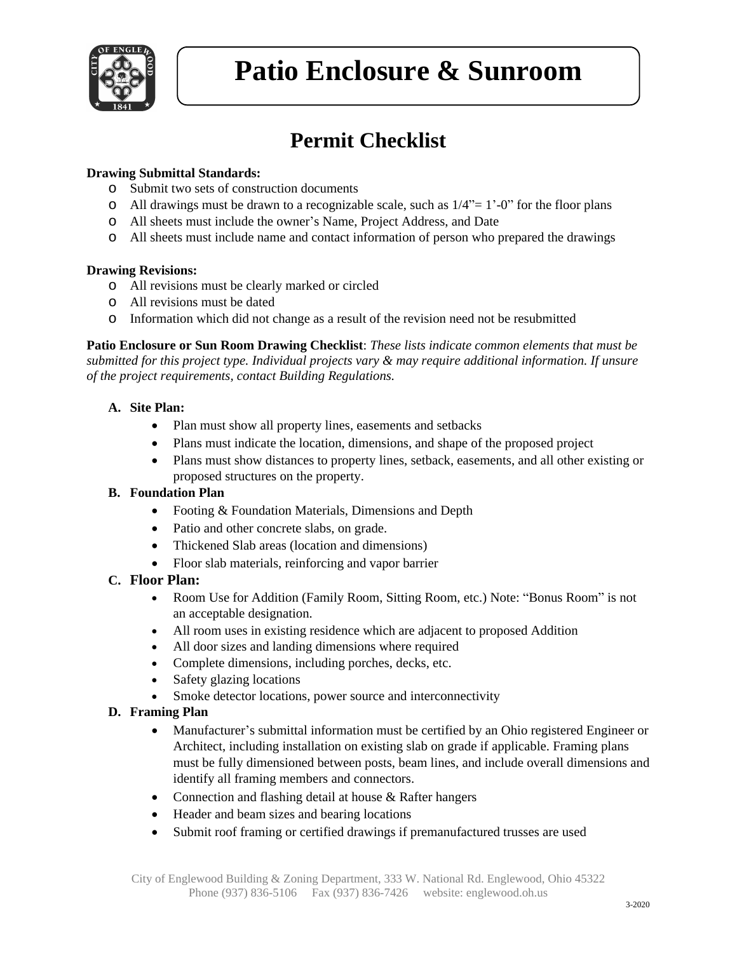

# **Permit Checklist**

### **Drawing Submittal Standards:**

- o Submit two sets of construction documents
- $\circ$  All drawings must be drawn to a recognizable scale, such as  $1/4$ "= 1'-0" for the floor plans
- o All sheets must include the owner's Name, Project Address, and Date
- o All sheets must include name and contact information of person who prepared the drawings

#### **Drawing Revisions:**

- o All revisions must be clearly marked or circled
- o All revisions must be dated
- o Information which did not change as a result of the revision need not be resubmitted

**Patio Enclosure or Sun Room Drawing Checklist**: *These lists indicate common elements that must be submitted for this project type. Individual projects vary & may require additional information. If unsure of the project requirements, contact Building Regulations.*

#### **A. Site Plan:**

- Plan must show all property lines, easements and setbacks
- Plans must indicate the location, dimensions, and shape of the proposed project
- Plans must show distances to property lines, setback, easements, and all other existing or proposed structures on the property.

#### **B. Foundation Plan**

- Footing & Foundation Materials, Dimensions and Depth
- Patio and other concrete slabs, on grade.
- Thickened Slab areas (location and dimensions)
- Floor slab materials, reinforcing and vapor barrier

# **C. Floor Plan:**

- Room Use for Addition (Family Room, Sitting Room, etc.) Note: "Bonus Room" is not an acceptable designation.
- All room uses in existing residence which are adjacent to proposed Addition
- All door sizes and landing dimensions where required
- Complete dimensions, including porches, decks, etc.
- Safety glazing locations
- Smoke detector locations, power source and interconnectivity

# **D. Framing Plan**

- Manufacturer's submittal information must be certified by an Ohio registered Engineer or Architect, including installation on existing slab on grade if applicable. Framing plans must be fully dimensioned between posts, beam lines, and include overall dimensions and identify all framing members and connectors.
- Connection and flashing detail at house & Rafter hangers
- Header and beam sizes and bearing locations
- Submit roof framing or certified drawings if premanufactured trusses are used